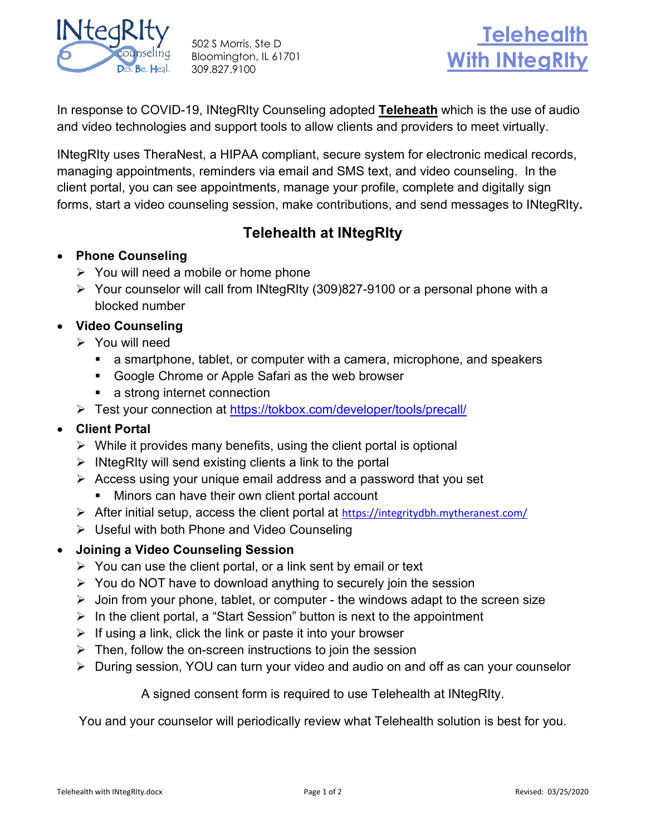

502 S Morris, Ste D Bloomington, IL 61701 309.827.9100



In response to COVID-19, INtegRIty Counseling adopted **Teleheath** which is the use of audio and video technologies and support tools to allow clients and providers to meet virtually.

INtegRIty uses TheraNest, a HIPAA compliant, secure system for electronic medical records, managing appointments, reminders via email and SMS text, and video counseling. In the client portal, you can see appointments, manage your profile, complete and digitally sign forms, start a video counseling session, make contributions, and send messages to INtegRIty**.**

## **Telehealth at INtegRIty**

- **Phone Counseling**
	- $\triangleright$  You will need a mobile or home phone
	- Your counselor will call from INtegRIty (309)827-9100 or a personal phone with a blocked number
- **Video Counseling**
	- $\triangleright$  You will need
		- a smartphone, tablet, or computer with a camera, microphone, and speakers
		- Google Chrome or Apple Safari as the web browser
		- a strong internet connection
	- Test your connection at<https://tokbox.com/developer/tools/precall/>

## • **Client Portal**

- $\triangleright$  While it provides many benefits, using the client portal is optional
- $\triangleright$  INtegRIty will send existing clients a link to the portal
- $\triangleright$  Access using your unique email address and a password that you set
	- **Minors can have their own client portal account**
- $\triangleright$  After initial setup, access the client portal at <https://integritydbh.mytheranest.com/>
- $\triangleright$  Useful with both Phone and Video Counseling
- **Joining a Video Counseling Session**
	- $\triangleright$  You can use the client portal, or a link sent by email or text
	- $\triangleright$  You do NOT have to download anything to securely join the session
	- $\triangleright$  Join from your phone, tablet, or computer the windows adapt to the screen size
	- $\triangleright$  In the client portal, a "Start Session" button is next to the appointment
	- $\triangleright$  If using a link, click the link or paste it into your browser
	- $\triangleright$  Then, follow the on-screen instructions to join the session
	- During session, YOU can turn your video and audio on and off as can your counselor

A signed consent form is required to use Telehealth at INtegRIty.

You and your counselor will periodically review what Telehealth solution is best for you.